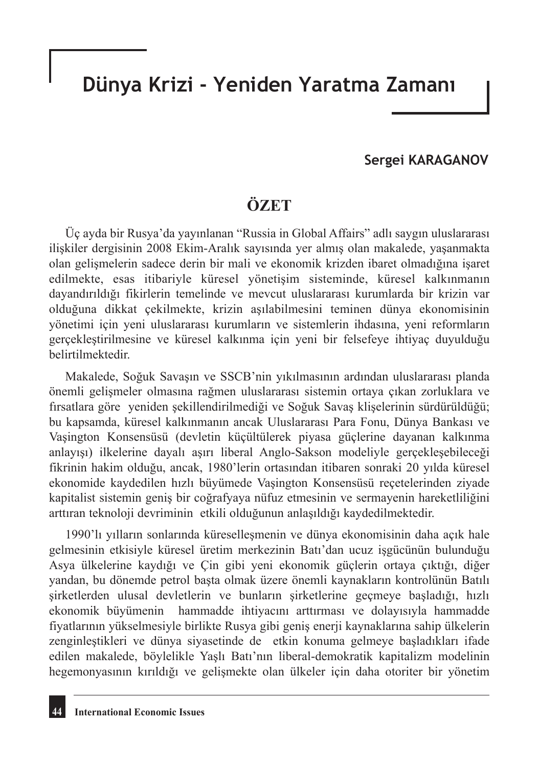## **Dünya Krizi - Yeniden Yaratma Zamanı**

#### **Sergei KARAGANOV**

### **ÖZET**

Üç ayda bir Rusya'da yayınlanan "Russia in Global Affairs" adlı saygın uluslararası ilişkiler dergisinin 2008 Ekim-Aralık sayısında yer almış olan makalede, yaşanmakta olan gelişmelerin sadece derin bir mali ve ekonomik krizden ibaret olmadığına işaret edilmekte, esas itibariyle küresel yönetişim sisteminde, küresel kalkınmanın dayandırıldığı fikirlerin temelinde ve mevcut uluslararası kurumlarda bir krizin var olduğuna dikkat çekilmekte, krizin aşılabilmesini teminen dünya ekonomisinin yönetimi için yeni uluslararası kurumların ve sistemlerin ihdasına, yeni reformların gerçekleştirilmesine ve küresel kalkınma için yeni bir felsefeye ihtiyaç duyulduğu belirtilmektedir.

Makalede, Soğuk Savaşın ve SSCB'nin yıkılmasının ardından uluslararası planda önemli gelişmeler olmasına rağmen uluslararası sistemin ortaya çıkan zorluklara ve fırsatlara göre yeniden şekillendirilmediği ve Soğuk Savaş klişelerinin sürdürüldüğü; bu kapsamda, küresel kalkınmanın ancak Uluslararası Para Fonu, Dünya Bankası ve Vaşington Konsensüsü (devletin küçültülerek piyasa güçlerine dayanan kalkınma anlayışı) ilkelerine dayalı aşırı liberal Anglo-Sakson modeliyle gerçekleşebileceği fikrinin hakim olduğu, ancak, 1980'lerin ortasından itibaren sonraki 20 yılda küresel ekonomide kaydedilen hızlı büyümede Vaşington Konsensüsü reçetelerinden ziyade kapitalist sistemin geniş bir coğrafyaya nüfuz etmesinin ve sermayenin hareketliliğini arttıran teknoloji devriminin etkili olduğunun anlaşıldığı kaydedilmektedir.

1990'lı yılların sonlarında küreselleşmenin ve dünya ekonomisinin daha açık hale gelmesinin etkisiyle küresel üretim merkezinin Batı'dan ucuz işgücünün bulunduğu Asya ülkelerine kaydığı ve Çin gibi yeni ekonomik güçlerin ortaya çıktığı, diğer yandan, bu dönemde petrol başta olmak üzere önemli kaynakların kontrolünün Batılı şirketlerden ulusal devletlerin ve bunların şirketlerine geçmeye başladığı, hızlı ekonomik büyümenin hammadde ihtiyacını arttırması ve dolayısıyla hammadde fiyatlarının yükselmesiyle birlikte Rusya gibi geniş enerji kaynaklarına sahip ülkelerin zenginleştikleri ve dünya siyasetinde de etkin konuma gelmeye başladıkları ifade edilen makalede, böylelikle Yaşlı Batı'nın liberal-demokratik kapitalizm modelinin hegemonyasının kırıldığı ve gelişmekte olan ülkeler için daha otoriter bir yönetim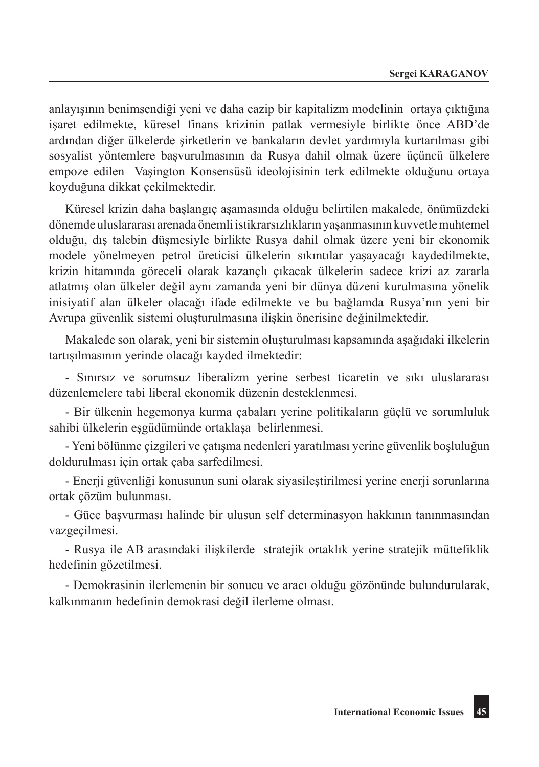anlayışının benimsendiği yeni ve daha cazip bir kapitalizm modelinin ortaya çıktığına işaret edilmekte, küresel finans krizinin patlak vermesiyle birlikte önce ABD'de ardından diğer ülkelerde şirketlerin ve bankaların devlet yardımıyla kurtarılması gibi sosyalist yöntemlere başvurulmasının da Rusya dahil olmak üzere üçüncü ülkelere empoze edilen Vaşington Konsensüsü ideolojisinin terk edilmekte olduğunu ortaya koyduğuna dikkat çekilmektedir.

Küresel krizin daha başlangıç aşamasında olduğu belirtilen makalede, önümüzdeki dönemde uluslararası arenada önemli istikrarsızlıkların yaşanmasının kuvvetle muhtemel olduğu, dış talebin düşmesiyle birlikte Rusya dahil olmak üzere yeni bir ekonomik modele yönelmeyen petrol üreticisi ülkelerin sıkıntılar yaşayacağı kaydedilmekte, krizin hitamında göreceli olarak kazançlı çıkacak ülkelerin sadece krizi az zararla atlatmış olan ülkeler değil aynı zamanda yeni bir dünya düzeni kurulmasına yönelik inisiyatif alan ülkeler olacağı ifade edilmekte ve bu bağlamda Rusya'nın yeni bir Avrupa güvenlik sistemi oluşturulmasına ilişkin önerisine değinilmektedir.

Makalede son olarak, yeni bir sistemin oluşturulması kapsamında aşağıdaki ilkelerin tartışılmasının yerinde olacağı kayded ilmektedir:

- Sınırsız ve sorumsuz liberalizm yerine serbest ticaretin ve sıkı uluslararası düzenlemelere tabi liberal ekonomik düzenin desteklenmesi.

- Bir ülkenin hegemonya kurma çabaları yerine politikaların güçlü ve sorumluluk sahibi ülkelerin eşgüdümünde ortaklaşa belirlenmesi.

- Yeni bölünme çizgileri ve çatışma nedenleri yaratılması yerine güvenlik boşluluğun doldurulması için ortak çaba sarfedilmesi.

- Enerji güvenliği konusunun suni olarak siyasileştirilmesi yerine enerji sorunlarına ortak çözüm bulunması.

- Güce başvurması halinde bir ulusun self determinasyon hakkının tanınmasından vazgeçilmesi.

- Rusya ile AB arasındaki ilişkilerde stratejik ortaklık yerine stratejik müttefiklik hedefinin gözetilmesi.

- Demokrasinin ilerlemenin bir sonucu ve aracı olduğu gözönünde bulundurularak, kalkınmanın hedefinin demokrasi değil ilerleme olması.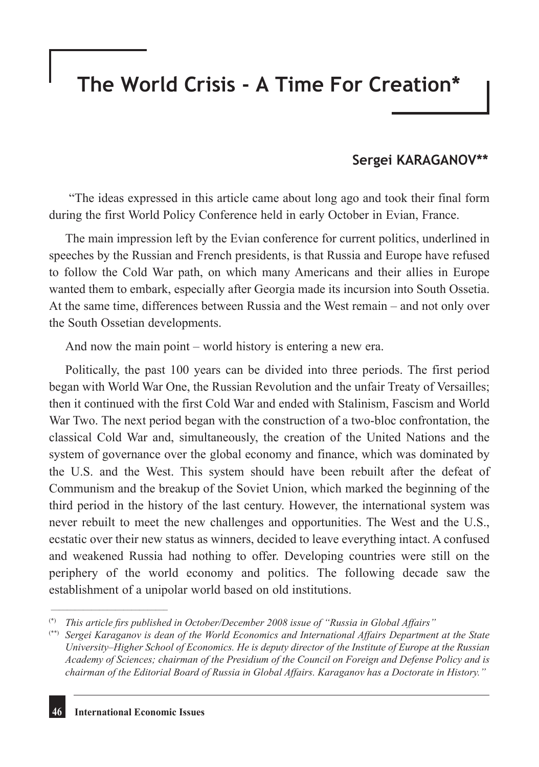# **The World Crisis - A Time For Creation\***

#### **Sergei KARAGANOV\*\***

 "The ideas expressed in this article came about long ago and took their final form during the first World Policy Conference held in early October in Evian, France.

The main impression left by the Evian conference for current politics, underlined in speeches by the Russian and French presidents, is that Russia and Europe have refused to follow the Cold War path, on which many Americans and their allies in Europe wanted them to embark, especially after Georgia made its incursion into South Ossetia. At the same time, differences between Russia and the West remain – and not only over the South Ossetian developments.

And now the main point – world history is entering a new era.

Politically, the past 100 years can be divided into three periods. The first period began with World War One, the Russian Revolution and the unfair Treaty of Versailles; then it continued with the first Cold War and ended with Stalinism, Fascism and World War Two. The next period began with the construction of a two-bloc confrontation, the classical Cold War and, simultaneously, the creation of the United Nations and the system of governance over the global economy and finance, which was dominated by the U.S. and the West. This system should have been rebuilt after the defeat of Communism and the breakup of the Soviet Union, which marked the beginning of the third period in the history of the last century. However, the international system was never rebuilt to meet the new challenges and opportunities. The West and the U.S., ecstatic over their new status as winners, decided to leave everything intact. A confused and weakened Russia had nothing to offer. Developing countries were still on the periphery of the world economy and politics. The following decade saw the establishment of a unipolar world based on old institutions.

\_\_\_\_\_\_\_\_\_\_\_\_\_\_\_\_\_\_\_\_\_\_\_\_\_\_\_\_\_

<sup>(\*)</sup> *This article firs published in October/December 2008 issue of "Russia in Global Affairs"*

<sup>(\*\*)</sup> *Sergei Karaganov is dean of the World Economics and International Affairs Department at the State University–Higher School of Economics. He is deputy director of the Institute of Europe at the Russian Academy of Sciences; chairman of the Presidium of the Council on Foreign and Defense Policy and is chairman of the Editorial Board of Russia in Global Affairs. Karaganov has a Doctorate in History."*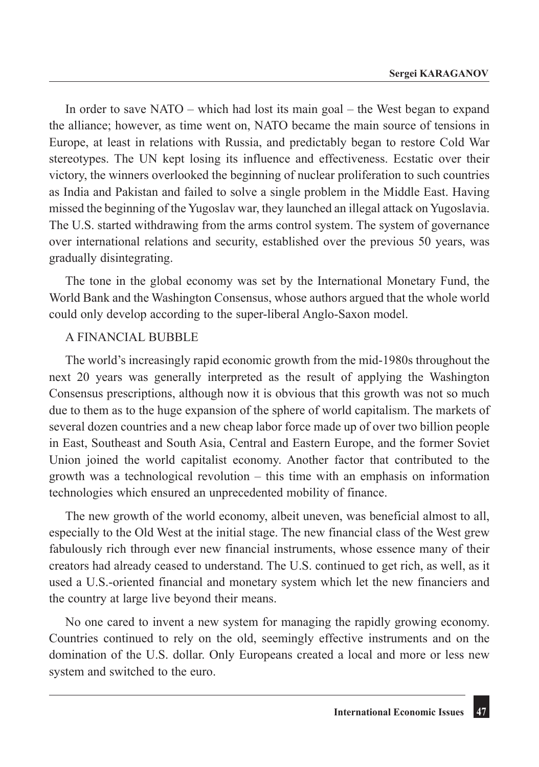In order to save NATO – which had lost its main goal – the West began to expand the alliance; however, as time went on, NATO became the main source of tensions in Europe, at least in relations with Russia, and predictably began to restore Cold War stereotypes. The UN kept losing its influence and effectiveness. Ecstatic over their victory, the winners overlooked the beginning of nuclear proliferation to such countries as India and Pakistan and failed to solve a single problem in the Middle East. Having missed the beginning of the Yugoslav war, they launched an illegal attack on Yugoslavia. The U.S. started withdrawing from the arms control system. The system of governance over international relations and security, established over the previous 50 years, was gradually disintegrating.

The tone in the global economy was set by the International Monetary Fund, the World Bank and the Washington Consensus, whose authors argued that the whole world could only develop according to the super-liberal Anglo-Saxon model.

#### A FINANCIAL BUBBLE

The world's increasingly rapid economic growth from the mid-1980s throughout the next 20 years was generally interpreted as the result of applying the Washington Consensus prescriptions, although now it is obvious that this growth was not so much due to them as to the huge expansion of the sphere of world capitalism. The markets of several dozen countries and a new cheap labor force made up of over two billion people in East, Southeast and South Asia, Central and Eastern Europe, and the former Soviet Union joined the world capitalist economy. Another factor that contributed to the growth was a technological revolution – this time with an emphasis on information technologies which ensured an unprecedented mobility of finance.

The new growth of the world economy, albeit uneven, was beneficial almost to all, especially to the Old West at the initial stage. The new financial class of the West grew fabulously rich through ever new financial instruments, whose essence many of their creators had already ceased to understand. The U.S. continued to get rich, as well, as it used a U.S.-oriented financial and monetary system which let the new financiers and the country at large live beyond their means.

No one cared to invent a new system for managing the rapidly growing economy. Countries continued to rely on the old, seemingly effective instruments and on the domination of the U.S. dollar. Only Europeans created a local and more or less new system and switched to the euro.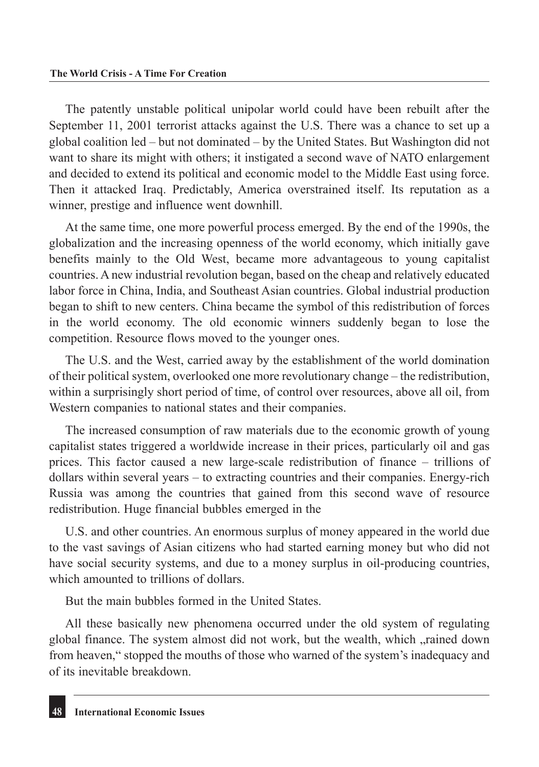The patently unstable political unipolar world could have been rebuilt after the September 11, 2001 terrorist attacks against the U.S. There was a chance to set up a global coalition led – but not dominated – by the United States. But Washington did not want to share its might with others; it instigated a second wave of NATO enlargement and decided to extend its political and economic model to the Middle East using force. Then it attacked Iraq. Predictably, America overstrained itself. Its reputation as a winner, prestige and influence went downhill.

At the same time, one more powerful process emerged. By the end of the 1990s, the globalization and the increasing openness of the world economy, which initially gave benefits mainly to the Old West, became more advantageous to young capitalist countries. A new industrial revolution began, based on the cheap and relatively educated labor force in China, India, and Southeast Asian countries. Global industrial production began to shift to new centers. China became the symbol of this redistribution of forces in the world economy. The old economic winners suddenly began to lose the competition. Resource flows moved to the younger ones.

The U.S. and the West, carried away by the establishment of the world domination of their political system, overlooked one more revolutionary change – the redistribution, within a surprisingly short period of time, of control over resources, above all oil, from Western companies to national states and their companies.

The increased consumption of raw materials due to the economic growth of young capitalist states triggered a worldwide increase in their prices, particularly oil and gas prices. This factor caused a new large-scale redistribution of finance – trillions of dollars within several years – to extracting countries and their companies. Energy-rich Russia was among the countries that gained from this second wave of resource redistribution. Huge financial bubbles emerged in the

U.S. and other countries. An enormous surplus of money appeared in the world due to the vast savings of Asian citizens who had started earning money but who did not have social security systems, and due to a money surplus in oil-producing countries, which amounted to trillions of dollars.

But the main bubbles formed in the United States.

All these basically new phenomena occurred under the old system of regulating global finance. The system almost did not work, but the wealth, which "rained down from heaven," stopped the mouths of those who warned of the system's inadequacy and of its inevitable breakdown.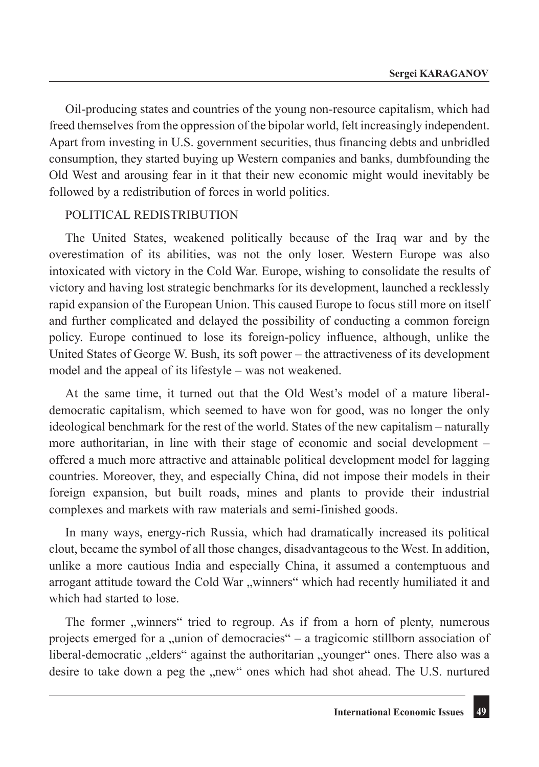Oil-producing states and countries of the young non-resource capitalism, which had freed themselves from the oppression of the bipolar world, felt increasingly independent. Apart from investing in U.S. government securities, thus financing debts and unbridled consumption, they started buying up Western companies and banks, dumbfounding the Old West and arousing fear in it that their new economic might would inevitably be followed by a redistribution of forces in world politics.

#### POLITICAL REDISTRIBUTION

The United States, weakened politically because of the Iraq war and by the overestimation of its abilities, was not the only loser. Western Europe was also intoxicated with victory in the Cold War. Europe, wishing to consolidate the results of victory and having lost strategic benchmarks for its development, launched a recklessly rapid expansion of the European Union. This caused Europe to focus still more on itself and further complicated and delayed the possibility of conducting a common foreign policy. Europe continued to lose its foreign-policy influence, although, unlike the United States of George W. Bush, its soft power – the attractiveness of its development model and the appeal of its lifestyle – was not weakened.

At the same time, it turned out that the Old West's model of a mature liberaldemocratic capitalism, which seemed to have won for good, was no longer the only ideological benchmark for the rest of the world. States of the new capitalism – naturally more authoritarian, in line with their stage of economic and social development – offered a much more attractive and attainable political development model for lagging countries. Moreover, they, and especially China, did not impose their models in their foreign expansion, but built roads, mines and plants to provide their industrial complexes and markets with raw materials and semi-finished goods.

In many ways, energy-rich Russia, which had dramatically increased its political clout, became the symbol of all those changes, disadvantageous to the West. In addition, unlike a more cautious India and especially China, it assumed a contemptuous and arrogant attitude toward the Cold War "winners" which had recently humiliated it and which had started to lose.

The former "winners" tried to regroup. As if from a horn of plenty, numerous projects emerged for a "union of democracies" – a tragicomic stillborn association of liberal-democratic "elders" against the authoritarian "younger" ones. There also was a desire to take down a peg the "new" ones which had shot ahead. The U.S. nurtured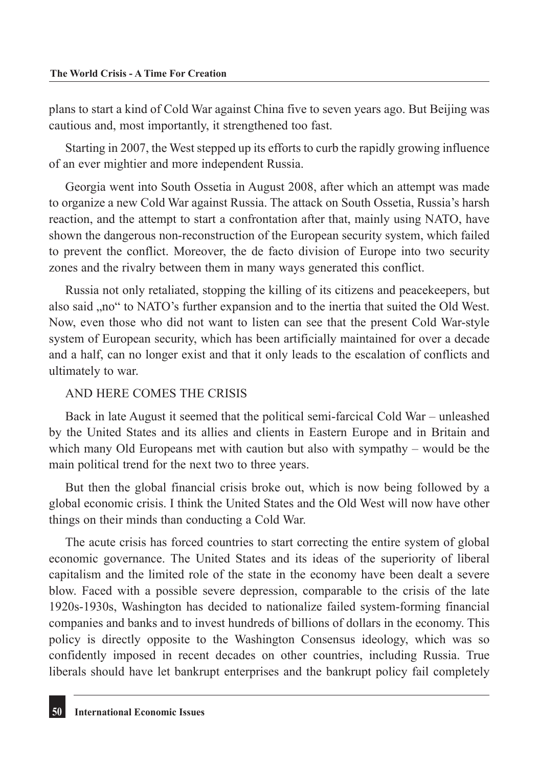plans to start a kind of Cold War against China five to seven years ago. But Beijing was cautious and, most importantly, it strengthened too fast.

Starting in 2007, the West stepped up its efforts to curb the rapidly growing influence of an ever mightier and more independent Russia.

Georgia went into South Ossetia in August 2008, after which an attempt was made to organize a new Cold War against Russia. The attack on South Ossetia, Russia's harsh reaction, and the attempt to start a confrontation after that, mainly using NATO, have shown the dangerous non-reconstruction of the European security system, which failed to prevent the conflict. Moreover, the de facto division of Europe into two security zones and the rivalry between them in many ways generated this conflict.

Russia not only retaliated, stopping the killing of its citizens and peacekeepers, but also said "no" to NATO's further expansion and to the inertia that suited the Old West. Now, even those who did not want to listen can see that the present Cold War-style system of European security, which has been artificially maintained for over a decade and a half, can no longer exist and that it only leads to the escalation of conflicts and ultimately to war.

#### AND HERE COMES THE CRISIS

Back in late August it seemed that the political semi-farcical Cold War – unleashed by the United States and its allies and clients in Eastern Europe and in Britain and which many Old Europeans met with caution but also with sympathy – would be the main political trend for the next two to three years.

But then the global financial crisis broke out, which is now being followed by a global economic crisis. I think the United States and the Old West will now have other things on their minds than conducting a Cold War.

The acute crisis has forced countries to start correcting the entire system of global economic governance. The United States and its ideas of the superiority of liberal capitalism and the limited role of the state in the economy have been dealt a severe blow. Faced with a possible severe depression, comparable to the crisis of the late 1920s-1930s, Washington has decided to nationalize failed system-forming financial companies and banks and to invest hundreds of billions of dollars in the economy. This policy is directly opposite to the Washington Consensus ideology, which was so confidently imposed in recent decades on other countries, including Russia. True liberals should have let bankrupt enterprises and the bankrupt policy fail completely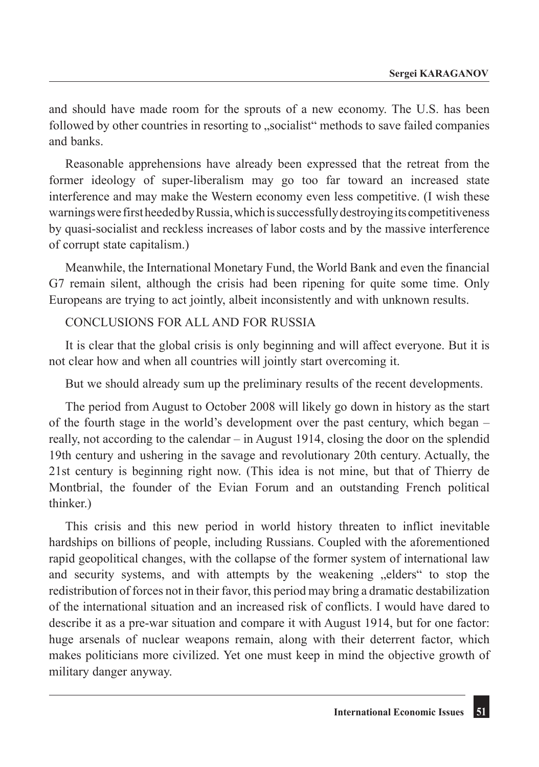and should have made room for the sprouts of a new economy. The U.S. has been followed by other countries in resorting to "socialist" methods to save failed companies and banks.

Reasonable apprehensions have already been expressed that the retreat from the former ideology of super-liberalism may go too far toward an increased state interference and may make the Western economy even less competitive. (I wish these warnings were first heeded by Russia, which is successfully destroying its competitiveness by quasi-socialist and reckless increases of labor costs and by the massive interference of corrupt state capitalism.)

Meanwhile, the International Monetary Fund, the World Bank and even the financial G7 remain silent, although the crisis had been ripening for quite some time. Only Europeans are trying to act jointly, albeit inconsistently and with unknown results.

CONCLUSIONS FOR ALL AND FOR RUSSIA

It is clear that the global crisis is only beginning and will affect everyone. But it is not clear how and when all countries will jointly start overcoming it.

But we should already sum up the preliminary results of the recent developments.

The period from August to October 2008 will likely go down in history as the start of the fourth stage in the world's development over the past century, which began – really, not according to the calendar – in August 1914, closing the door on the splendid 19th century and ushering in the savage and revolutionary 20th century. Actually, the 21st century is beginning right now. (This idea is not mine, but that of Thierry de Montbrial, the founder of the Evian Forum and an outstanding French political thinker.)

This crisis and this new period in world history threaten to inflict inevitable hardships on billions of people, including Russians. Coupled with the aforementioned rapid geopolitical changes, with the collapse of the former system of international law and security systems, and with attempts by the weakening "elders" to stop the redistribution of forces not in their favor, this period may bring a dramatic destabilization of the international situation and an increased risk of conflicts. I would have dared to describe it as a pre-war situation and compare it with August 1914, but for one factor: huge arsenals of nuclear weapons remain, along with their deterrent factor, which makes politicians more civilized. Yet one must keep in mind the objective growth of military danger anyway.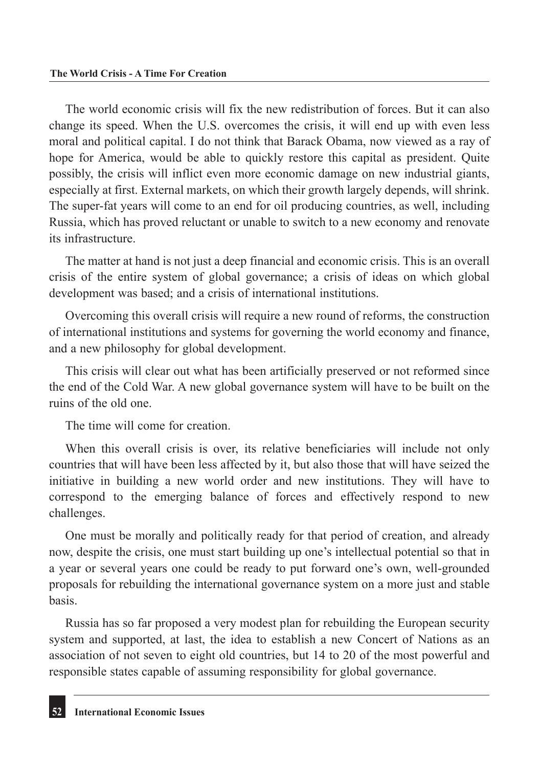The world economic crisis will fix the new redistribution of forces. But it can also change its speed. When the U.S. overcomes the crisis, it will end up with even less moral and political capital. I do not think that Barack Obama, now viewed as a ray of hope for America, would be able to quickly restore this capital as president. Quite possibly, the crisis will inflict even more economic damage on new industrial giants, especially at first. External markets, on which their growth largely depends, will shrink. The super-fat years will come to an end for oil producing countries, as well, including Russia, which has proved reluctant or unable to switch to a new economy and renovate its infrastructure.

The matter at hand is not just a deep financial and economic crisis. This is an overall crisis of the entire system of global governance; a crisis of ideas on which global development was based; and a crisis of international institutions.

Overcoming this overall crisis will require a new round of reforms, the construction of international institutions and systems for governing the world economy and finance, and a new philosophy for global development.

This crisis will clear out what has been artificially preserved or not reformed since the end of the Cold War. A new global governance system will have to be built on the ruins of the old one.

The time will come for creation.

When this overall crisis is over, its relative beneficiaries will include not only countries that will have been less affected by it, but also those that will have seized the initiative in building a new world order and new institutions. They will have to correspond to the emerging balance of forces and effectively respond to new challenges.

One must be morally and politically ready for that period of creation, and already now, despite the crisis, one must start building up one's intellectual potential so that in a year or several years one could be ready to put forward one's own, well-grounded proposals for rebuilding the international governance system on a more just and stable basis.

Russia has so far proposed a very modest plan for rebuilding the European security system and supported, at last, the idea to establish a new Concert of Nations as an association of not seven to eight old countries, but 14 to 20 of the most powerful and responsible states capable of assuming responsibility for global governance.